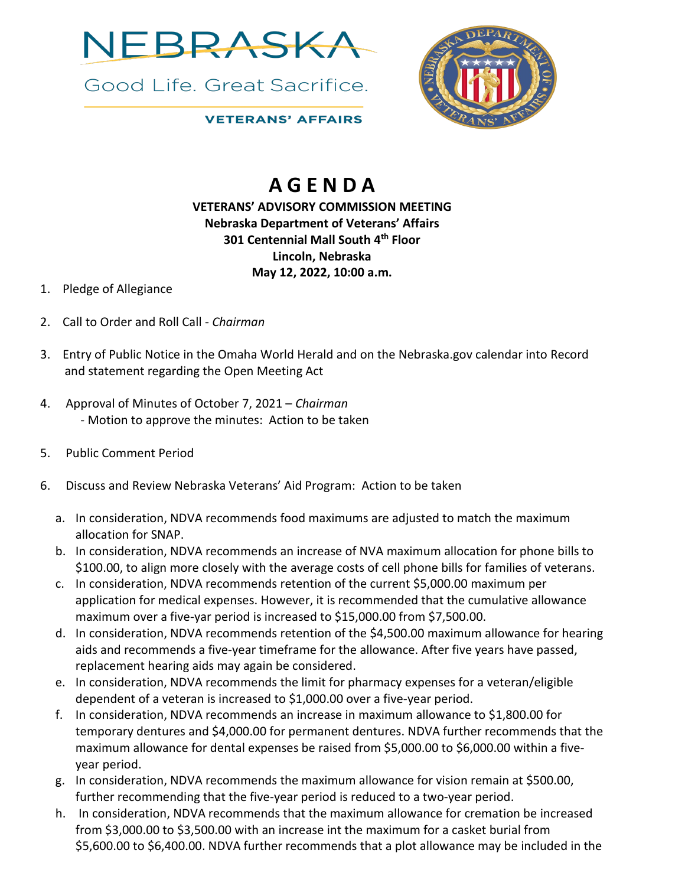

Good Life, Great Sacrifice.



## **VETERANS' AFFAIRS**

## **A G E N D A**

## **VETERANS' ADVISORY COMMISSION MEETING Nebraska Department of Veterans' Affairs 301 Centennial Mall South 4th Floor Lincoln, Nebraska May 12, 2022, 10:00 a.m.**

- 1. Pledge of Allegiance
- 2. Call to Order and Roll Call *Chairman*
- 3. Entry of Public Notice in the Omaha World Herald and on the Nebraska.gov calendar into Record and statement regarding the Open Meeting Act
- 4. Approval of Minutes of October 7, 2021 *Chairman*  - Motion to approve the minutes: Action to be taken
- 5. Public Comment Period
- 6. Discuss and Review Nebraska Veterans' Aid Program: Action to be taken
	- a. In consideration, NDVA recommends food maximums are adjusted to match the maximum allocation for SNAP.
	- b. In consideration, NDVA recommends an increase of NVA maximum allocation for phone bills to \$100.00, to align more closely with the average costs of cell phone bills for families of veterans.
	- c. In consideration, NDVA recommends retention of the current \$5,000.00 maximum per application for medical expenses. However, it is recommended that the cumulative allowance maximum over a five-yar period is increased to \$15,000.00 from \$7,500.00.
	- d. In consideration, NDVA recommends retention of the \$4,500.00 maximum allowance for hearing aids and recommends a five-year timeframe for the allowance. After five years have passed, replacement hearing aids may again be considered.
	- e. In consideration, NDVA recommends the limit for pharmacy expenses for a veteran/eligible dependent of a veteran is increased to \$1,000.00 over a five-year period.
	- f. In consideration, NDVA recommends an increase in maximum allowance to \$1,800.00 for temporary dentures and \$4,000.00 for permanent dentures. NDVA further recommends that the maximum allowance for dental expenses be raised from \$5,000.00 to \$6,000.00 within a fiveyear period.
	- g. In consideration, NDVA recommends the maximum allowance for vision remain at \$500.00, further recommending that the five-year period is reduced to a two-year period.
	- h. In consideration, NDVA recommends that the maximum allowance for cremation be increased from \$3,000.00 to \$3,500.00 with an increase int the maximum for a casket burial from \$5,600.00 to \$6,400.00. NDVA further recommends that a plot allowance may be included in the